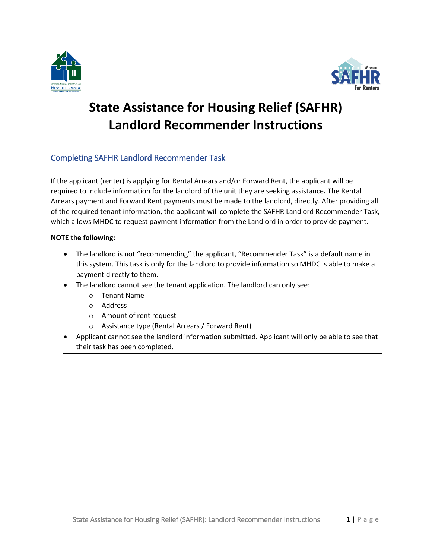



# **State Assistance for Housing Relief (SAFHR) Landlord Recommender Instructions**

## Completing SAFHR Landlord Recommender Task

If the applicant (renter) is applying for Rental Arrears and/or Forward Rent, the applicant will be required to include information for the landlord of the unit they are seeking assistance**.** The Rental Arrears payment and Forward Rent payments must be made to the landlord, directly. After providing all of the required tenant information, the applicant will complete the SAFHR Landlord Recommender Task, which allows MHDC to request payment information from the Landlord in order to provide payment.

### **NOTE the following:**

- The landlord is not "recommending" the applicant, "Recommender Task" is a default name in this system. This task is only for the landlord to provide information so MHDC is able to make a payment directly to them.
- The landlord cannot see the tenant application. The landlord can only see:
	- o Tenant Name
	- o Address
	- o Amount of rent request
	- o Assistance type (Rental Arrears / Forward Rent)
- Applicant cannot see the landlord information submitted. Applicant will only be able to see that their task has been completed.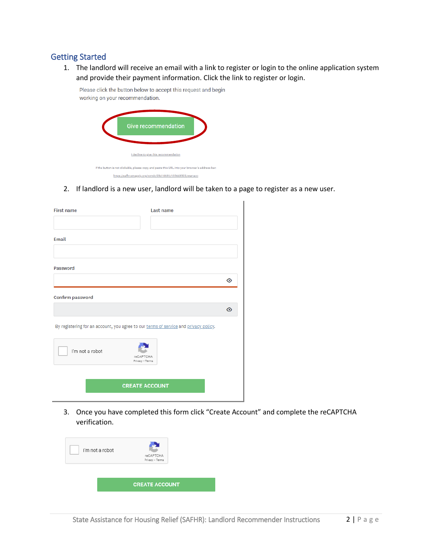## Getting Started

1. The landlord will receive an email with a link to register or login to the online application system and provide their payment information. Click the link to register or login.

Give recommendation I decline to give this recommendation If the button is not clickable, please copy and paste this URL into your browser's address bar. https://safhr.smapply.org/rcmdr/23410631/135643505/startacc

Please click the button below to accept this request and begin

working on your recommendation.

2. If landlord is a new user, landlord will be taken to a page to register as a new user.

| <b>First name</b>                                                                    | Last name                    |  |  |  |
|--------------------------------------------------------------------------------------|------------------------------|--|--|--|
|                                                                                      |                              |  |  |  |
| Email                                                                                |                              |  |  |  |
|                                                                                      |                              |  |  |  |
| Password                                                                             |                              |  |  |  |
|                                                                                      | ⊙                            |  |  |  |
| Confirm password                                                                     |                              |  |  |  |
|                                                                                      | ⊙                            |  |  |  |
| By registering for an account, you agree to our terms of service and privacy policy. |                              |  |  |  |
| I'm not a robot                                                                      | reCAPTCHA<br>Privacy - Terms |  |  |  |
|                                                                                      |                              |  |  |  |
| <b>CREATE ACCOUNT</b>                                                                |                              |  |  |  |

3. Once you have completed this form click "Create Account" and complete the reCAPTCHA verification.

| I'm not a robot | reCAPTCHA<br>Privacy - Terms |  |  |
|-----------------|------------------------------|--|--|
|                 | <b>CREATE ACCOUNT</b>        |  |  |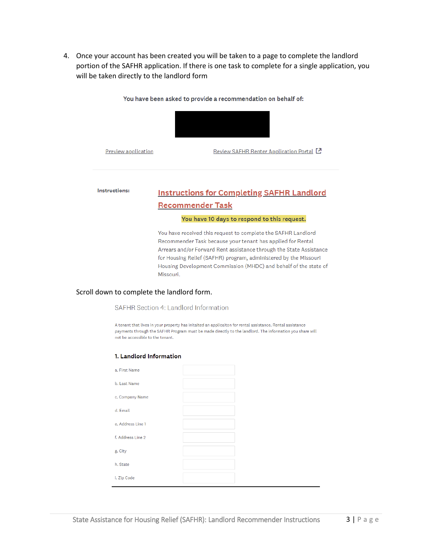4. Once your account has been created you will be taken to a page to complete the landlord portion of the SAFHR application. If there is one task to complete for a single application, you will be taken directly to the landlord form

You have been asked to provide a recommendation on behalf of:



**Preview application** 

Review SAFHR Renter Application Portal [2]

#### Instructions: **Instructions for Completing SAFHR Landlord Recommender Task**

#### You have 10 days to respond to this request.

You have received this request to complete the SAFHR Landlord Recommender Task because your tenant has applied for Rental Arrears and/or Forward Rent assistance through the State Assistance for Housing Relief (SAFHR) program, administered by the Missouri Housing Development Commission (MHDC) and behalf of the state of Missouri.

#### Scroll down to complete the landlord form.

#### SAFHR Section 4: Landlord Information

A tenant that lives in your property has initaited an applicaiton for rental assistance. Rental assistance payments through the SAFHR Program must be made directly to the landlord. The information you share will not be accessible to the tenant.

#### 1. Landlord Information

| a. First Name     |  |
|-------------------|--|
| b. Last Name      |  |
| c. Company Name   |  |
| d. Email          |  |
| e. Address Line 1 |  |
| f. Address Line 2 |  |
| g. City           |  |
| h. State          |  |
| i. Zip Code       |  |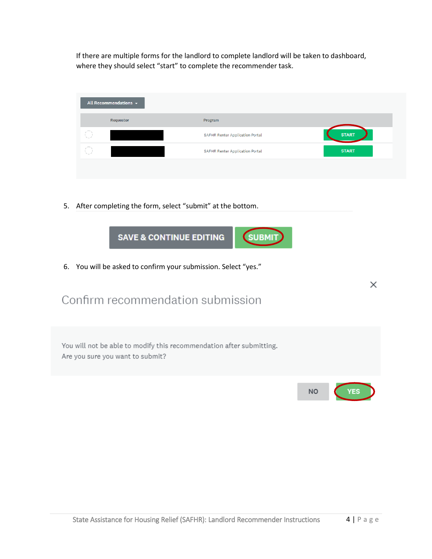If there are multiple forms for the landlord to complete landlord will be taken to dashboard, where they should select "start" to complete the recommender task.

|        | All Recommendations $\sim$ |                                        |              |
|--------|----------------------------|----------------------------------------|--------------|
|        | Requestor                  | Program                                |              |
| ,      |                            | SAFHR Renter Application Portal        | <b>START</b> |
| $\sim$ |                            | <b>SAFHR Renter Application Portal</b> | <b>START</b> |
|        |                            |                                        |              |

 $\times$ 

5. After completing the form, select "submit" at the bottom.



6. You will be asked to confirm your submission. Select "yes."

## Confirm recommendation submission

| You will not be able to modify this recommendation after submitting.<br>Are you sure you want to submit? |           |       |
|----------------------------------------------------------------------------------------------------------|-----------|-------|
|                                                                                                          | <b>NO</b> | YES ) |